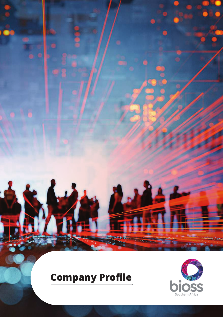

# **Company Profile**

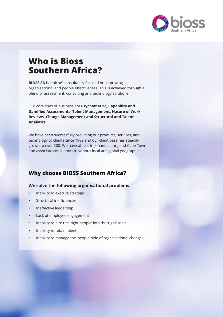

# **Who is Bioss Southern Africa?**

**BIOSS SA** is a niche' consultancy focused on improving organisational and people effectiveness. This is achieved through a blend of assessment, consulting and technology solutions.

Our core lines of business are **Psychometric, Capability and Gamified Assessments, Talent Management, Nature of Work Reviews, Change Management and Structural and Talent Analytics.**

We have been successfully providing our products, services, and technology to clients since 1989 and our client base has steadily grown to over 200. We have offices in Johannesburg and Cape Town and associate consultants in various local and global geographies.

### **Why choose BIOSS Southern Africa?**

#### **We solve the following organisational problems:**

- Inability to execute strategy
- Structural inefficiencies
- Ineffective leadership
- Lack of employee engagement
- Inability to hire the 'right people' into the 'right' roles
- Inability to retain talent
- Inability to manage the 'people' side of organisational change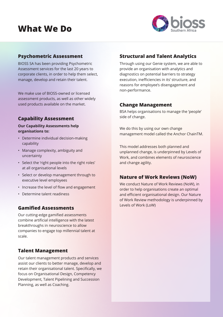# **What We Do**



#### **Psychometric Assessment**

BIOSS SA has been providing Psychometric Assessment services for the last 20 years to corporate clients, in order to help them select, manage, develop and retain their talent.

We make use of BIOSS-owned or licensed assessment products, as well as other widely used products available on the market.

#### **Capability Assessment**

#### **Our Capability Assessments help organisations to:**

- Determine individual decision-making capability
- Manage complexity, ambiguity and uncertainty
- Select the 'right people into the right roles' at all organisational levels
- Select or develop management through to executive level employees
- Increase the level of flow and engagement
- Determine talent readiness

#### **Gamified Assessments**

Our cutting-edge gamified assessments combine artificial intelligence with the latest breakthroughs in neuroscience to allow companies to engage top millennial talent at scale.

#### **Talent Management**

Our talent management products and services assist our clients to better manage, develop and retain their organisational talent. Specifically, we focus on Organisational Design, Competency Development, Talent Pipelining and Succession Planning, as well as Coaching.

#### **Structural and Talent Analytics**

Through using our Genie system, we are able to provide an organisation with analytics and diagnostics on potential barriers to strategy execution, inefficiencies in its' structure, and reasons for employee's disengagement and non-performance.

#### **Change Management**

BSA helps organisations to manage the 'people' side of change.

We do this by using our own change management model called the Anchor ChainTM.

This model addresses both planned and unplanned change, is underpinned by Levels of Work, and combines elements of neuroscience and change agility.

#### **Nature of Work Reviews (NoW)**

We conduct Nature of Work Reviews (NoW), in order to help organisations create an optimal and efficient organisational design. Our Nature of Work Review methodology is underpinned by Levels of Work (LoW)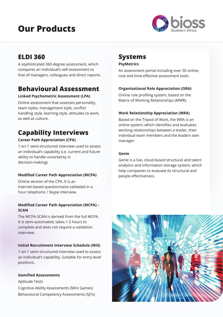# **Our Products**



# **ELDI 360**

A sophisticated 360-degree assessment, which compares an individual's self-assessment to that of managers, colleagues and direct reports.

# **Behavioural Assessment**

#### **Linked Psychometric Assessment (LPA)**

Online assessment that assesses personality, team styles, management style, conflict handling style, learning style, attitudes to work, as well as culture.

# **Capability Interviews**

#### **Career Path Appreciation (CPA)**

1-on-1 semi-structured interview used to assess an individual's capability (i.e. current and future ability to handle uncertainty in decision-making).

#### **Modified Career Path Appreciation (MCPA)**

Online version of the CPA. It is an internet-based questionnaire validated in a hour telephonic / Skype interview.

#### **Modified Career Path Appreciation (MCPA) – SCAN**

The MCPA-SCAN is derived from the full MCPA. It is semi-automated, takes 1-2 hours to complete and does not require a validation interview.

#### **Initial Recruitment Interview Schedule (IRIS)**

1-on-1 semi-structured interview used to assess an individual's capability. Suitable for entry-level positions.

#### **Gamified Assessments**

Aptitude Tests Cognitive Ability Assessments (Mini Games) Behavioural Competency Assessments (SJTs)

### **Systems**

#### **PsyMetrics**

An assessment portal including over 30 online, cost and time effective assessment tools.

#### **Organisational Role Appreciation (ORA)**

Online role profiling system, based on the Matrix of Working Relationships (MWR).

#### **Work Relationship Appreciation (WRA)**

Based on the Tripod of Work, the WRA is an online system, which identifies and evaluates working relationships between a leader, their individual team members and the leaders own manager.

#### **Genie**

Genie is a live, cloud-based structural and talent analytics and information storage system, which help companies to evaluate its structural and people effectiveness.

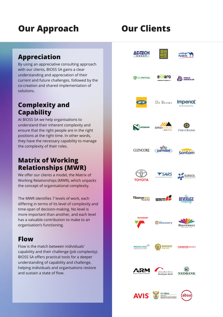# **Our Approach Our Clients**

# **Appreciation**

By using an appreciative consulting approach with our clients, BIOSS SA gains a clear understanding and appreciation of their current and future challenges, followed by the co-creation and shared implementation of solutions.

### **Complexity and Capability**

At BIOSS SA we help organisations to understand their inherent complexity and ensure that the right people are in the right positions at the right time. In other words, they have the necessary capability to manage the complexity of their roles.

### **Matrix of Working Relationships (MWR)**

We offer our clients a model, the Matrix of Working Relationships (MWR), which unpacks the concept of organisational complexity.

The MWR identifies 7 levels of work, each differing in terms of its level of complexity and time-span of decision-making. No level is more important than another, and each level has a valuable contribution to make to an organisation's functioning.

### **Flow**

Flow is the match between individuals' capability and their challenge (job complexity). BIOSS SA offers practical tools for a deeper understanding of capability and challenge, helping individuals and organisations restore and sustain a state of flow.